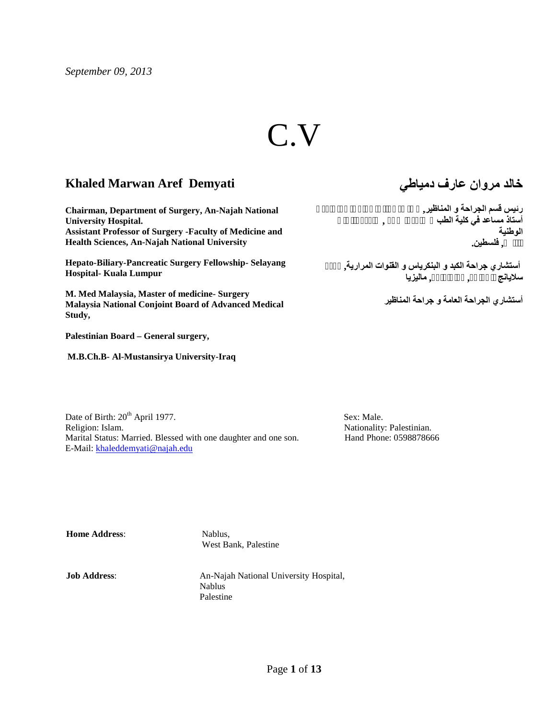*September 09, 2013*

# C.V

## **Khaled Marwan Aref Demyati**

**Chairman, Department of Surgery, An-Najah National University Hospital. Assistant Professor of Surgery -Faculty of Medicine and Health Sciences, An-Najah National University**

**Hepato-Biliary-Pancreatic Surgery Fellowship- Selayang Hospital- Kuala Lumpur**

**M. Med Malaysia, Master of medicine- Surgery Malaysia National Conjoint Board of Advanced Medical Study,**

**Palestinian Board – General surgery,**

 **M.B.Ch.B- Al-Mustansirya University-Iraq**

**خالد مروان عارف دمیاطي**

**رئیس قسم الجراحة و المناظیر, مستشفى النجاح الوطني الجامعي أستاذ مساعد في كلیة الطب و علوم الصحة , جامعة النجاح نابلس, فلسطین. الوطنیة**

> **أستشاري جراحة الكبد و البنكریاس و القنوات المراریة, مركز سلایانج للجراحة, كوالالمبور, مالیزیا**

> > **أستشاري الجراحة العامة و جراحة المناظیر**

Date of Birth:  $20^{th}$  April 1977. Sex: Male. Religion: Islam. Nationality: Palestinian. Marital Status: Married. Blessed with one daughter and one son. Hand Phone: 0598878666 E-Mail: khaleddemyati@najah.edu

**Home Address:** Nablus,

West Bank, Palestine

**Job Address**: An-Najah National University Hospital, Nablus Palestine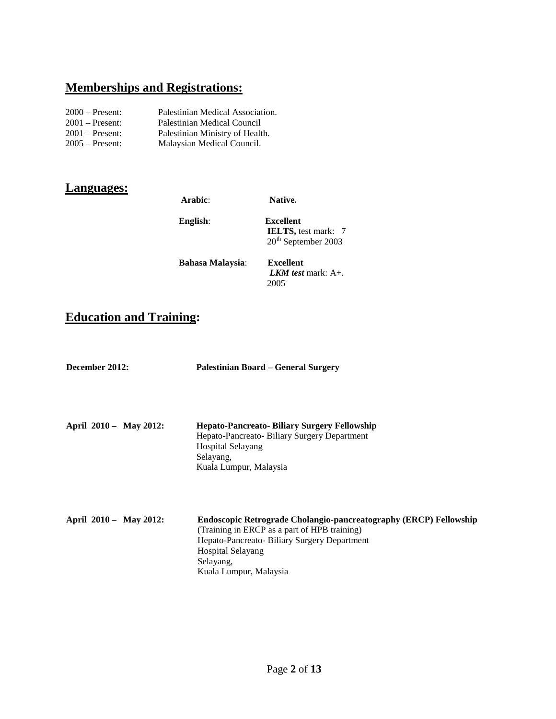# **Memberships and Registrations:**

| $2000$ – Present: | Palestinian Medical Association. |
|-------------------|----------------------------------|
| $2001$ – Present: | Palestinian Medical Council      |
| $2001$ – Present: | Palestinian Ministry of Health.  |
| $2005$ – Present: | Malaysian Medical Council.       |

## **Languages:**

| Arabic:                 | Native.                                                                            |  |
|-------------------------|------------------------------------------------------------------------------------|--|
| English:                | <b>Excellent</b><br><b>IELTS</b> , test mark: 7<br>20 <sup>th</sup> September 2003 |  |
| <b>Bahasa Malaysia:</b> | <b>Excellent</b><br><i>LKM test</i> mark: $A+$ .<br>2005                           |  |

# **Education and Training:**

| December 2012:         | Palestinian Board – General Surgery                                                                                                                                                                                                 |
|------------------------|-------------------------------------------------------------------------------------------------------------------------------------------------------------------------------------------------------------------------------------|
| April 2010 - May 2012: | Hepato-Pancreato- Biliary Surgery Fellowship<br>Hepato-Pancreato-Biliary Surgery Department<br><b>Hospital Selayang</b><br>Selayang,<br>Kuala Lumpur, Malaysia                                                                      |
| April 2010 - May 2012: | Endoscopic Retrograde Cholangio-pancreatography (ERCP) Fellowship<br>(Training in ERCP as a part of HPB training)<br>Hepato-Pancreato-Biliary Surgery Department<br><b>Hospital Selayang</b><br>Selayang,<br>Kuala Lumpur, Malaysia |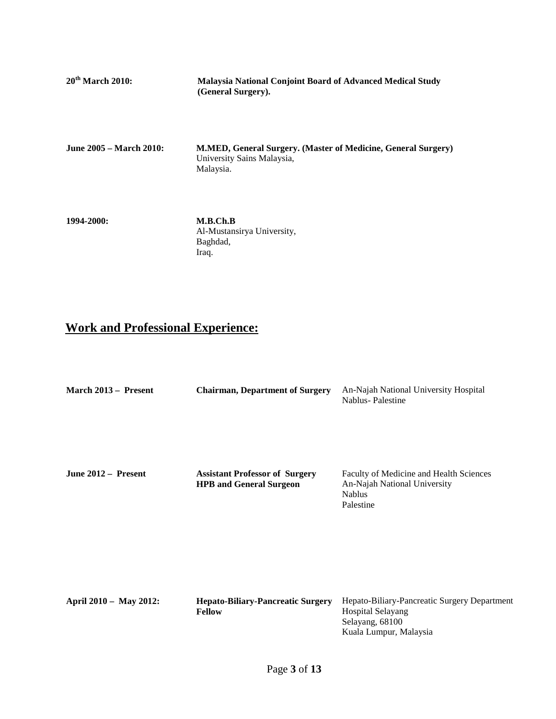| 20 <sup>th</sup> March 2010:   | <b>Malaysia National Conjoint Board of Advanced Medical Study</b><br>(General Surgery).                  |
|--------------------------------|----------------------------------------------------------------------------------------------------------|
| <b>June 2005 – March 2010:</b> | M.MED, General Surgery. (Master of Medicine, General Surgery)<br>University Sains Malaysia,<br>Malaysia. |

**1994-2000: M.B.Ch.B** Al-Mustansirya University, Baghdad, Iraq.

# **Work and Professional Experience:**

| March 2013 – Present   | <b>Chairman, Department of Surgery</b>                                  | An-Najah National University Hospital<br>Nablus-Palestine                                                      |
|------------------------|-------------------------------------------------------------------------|----------------------------------------------------------------------------------------------------------------|
| June 2012 – Present    | <b>Assistant Professor of Surgery</b><br><b>HPB</b> and General Surgeon | Faculty of Medicine and Health Sciences<br>An-Najah National University<br><b>Nablus</b><br>Palestine          |
| April 2010 - May 2012: | <b>Hepato-Biliary-Pancreatic Surgery</b><br><b>Fellow</b>               | Hepato-Biliary-Pancreatic Surgery Department<br>Hospital Selayang<br>Selayang, 68100<br>Kuala Lumpur, Malaysia |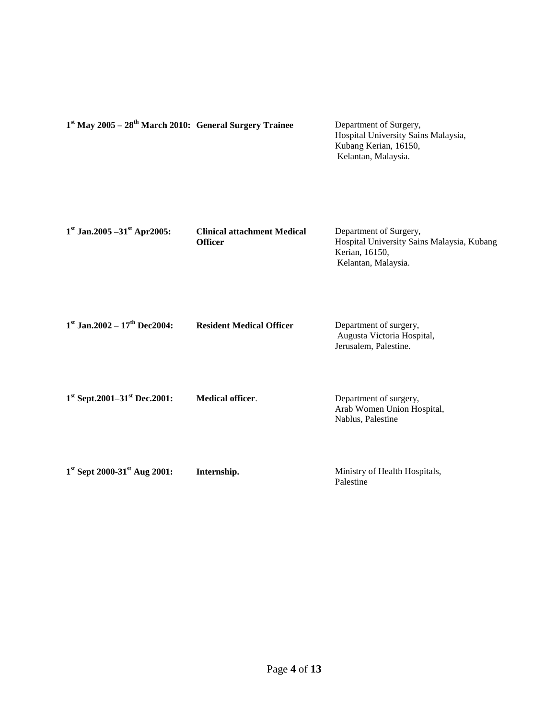| $1st$ May 2005 – $28th$ March 2010: General Surgery Trainee |                                                      | Department of Surgery,<br>Hospital University Sains Malaysia,<br>Kubang Kerian, 16150,<br>Kelantan, Malaysia. |
|-------------------------------------------------------------|------------------------------------------------------|---------------------------------------------------------------------------------------------------------------|
| $1st$ Jan.2005 -31 <sup>st</sup> Apr2005:                   | <b>Clinical attachment Medical</b><br><b>Officer</b> | Department of Surgery,<br>Hospital University Sains Malaysia, Kubang<br>Kerian, 16150,<br>Kelantan, Malaysia. |
| $1st$ Jan.2002 – $17th$ Dec2004:                            | <b>Resident Medical Officer</b>                      | Department of surgery,<br>Augusta Victoria Hospital,<br>Jerusalem, Palestine.                                 |
| $1st$ Sept.2001–31 <sup>st</sup> Dec.2001:                  | <b>Medical officer.</b>                              | Department of surgery,<br>Arab Women Union Hospital,<br>Nablus, Palestine                                     |
| 1st Sept 2000-31st Aug 2001:                                | Internship.                                          | Ministry of Health Hospitals,<br>Palestine                                                                    |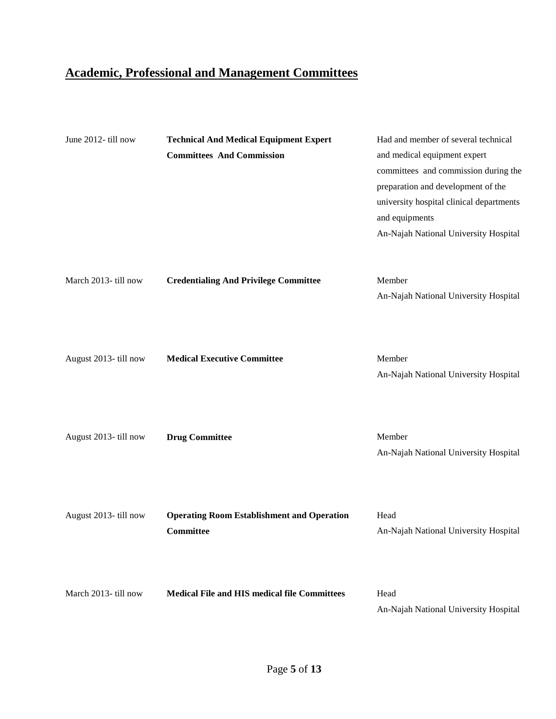# **Academic, Professional and Management Committees**

| June 2012- till now   | <b>Technical And Medical Equipment Expert</b><br><b>Committees And Commission</b> | Had and member of several technical<br>and medical equipment expert<br>committees and commission during the<br>preparation and development of the<br>university hospital clinical departments<br>and equipments<br>An-Najah National University Hospital |
|-----------------------|-----------------------------------------------------------------------------------|----------------------------------------------------------------------------------------------------------------------------------------------------------------------------------------------------------------------------------------------------------|
| March 2013- till now  | <b>Credentialing And Privilege Committee</b>                                      | Member<br>An-Najah National University Hospital                                                                                                                                                                                                          |
| August 2013- till now | <b>Medical Executive Committee</b>                                                | Member<br>An-Najah National University Hospital                                                                                                                                                                                                          |
| August 2013- till now | <b>Drug Committee</b>                                                             | Member<br>An-Najah National University Hospital                                                                                                                                                                                                          |
| August 2013-till now  | <b>Operating Room Establishment and Operation</b><br><b>Committee</b>             | Head<br>An-Najah National University Hospital                                                                                                                                                                                                            |
| March 2013- till now  | <b>Medical File and HIS medical file Committees</b>                               | Head<br>An-Najah National University Hospital                                                                                                                                                                                                            |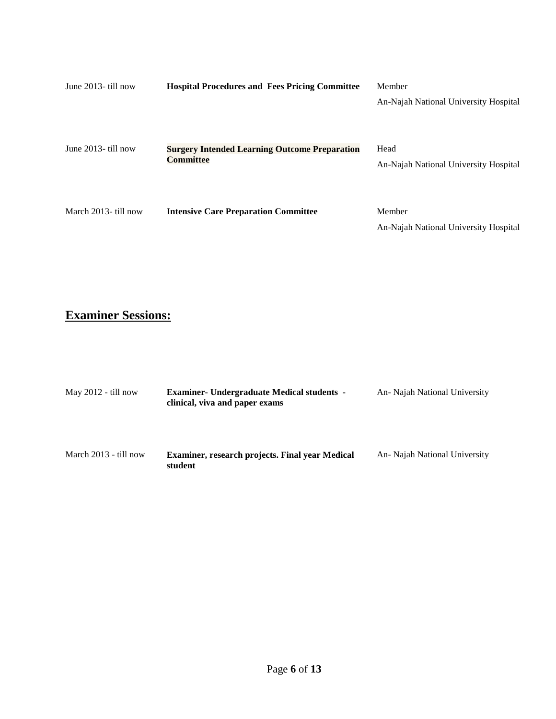| June $2013$ - till now | <b>Hospital Procedures and Fees Pricing Committee</b>                    | Member<br>An-Najah National University Hospital |
|------------------------|--------------------------------------------------------------------------|-------------------------------------------------|
| June $2013$ - till now | <b>Surgery Intended Learning Outcome Preparation</b><br><b>Committee</b> | Head<br>An-Najah National University Hospital   |
| March 2013- till now   | <b>Intensive Care Preparation Committee</b>                              | Member<br>An-Najah National University Hospital |

# **Examiner Sessions:**

| May $2012 - \text{till now}$   | <b>Examiner- Undergraduate Medical students -</b><br>clinical, viva and paper exams | An- Najah National University |
|--------------------------------|-------------------------------------------------------------------------------------|-------------------------------|
| March $2013 - \text{till now}$ | <b>Examiner, research projects. Final year Medical</b><br>student                   | An- Najah National University |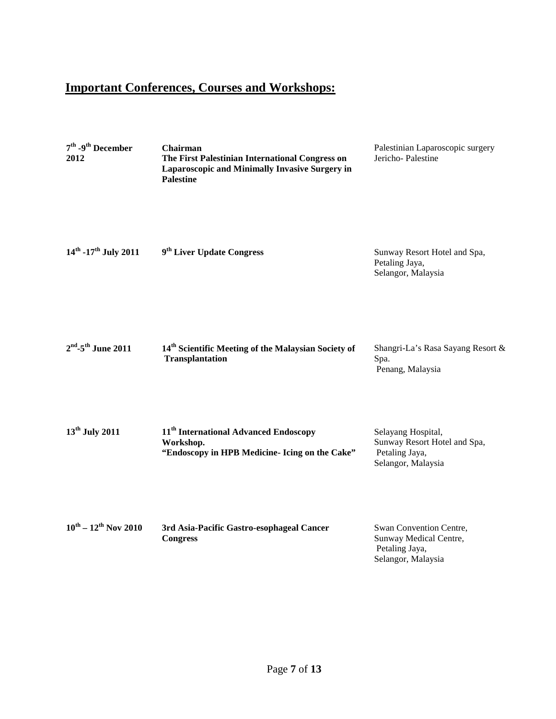# **Important Conferences, Courses and Workshops:**

| $7^{\text{th}}$ -9 <sup>th</sup> December<br>2012 | Chairman<br>The First Palestinian International Congress on<br>Laparoscopic and Minimally Invasive Surgery in<br><b>Palestine</b> | Palestinian Laparoscopic surgery<br>Jericho-Palestine                                      |
|---------------------------------------------------|-----------------------------------------------------------------------------------------------------------------------------------|--------------------------------------------------------------------------------------------|
| $14^{th}$ -17 <sup>th</sup> July 2011             | 9 <sup>th</sup> Liver Update Congress                                                                                             | Sunway Resort Hotel and Spa,<br>Petaling Jaya,<br>Selangor, Malaysia                       |
| $2nd$ -5 <sup>th</sup> June 2011                  | 14 <sup>th</sup> Scientific Meeting of the Malaysian Society of<br><b>Transplantation</b>                                         | Shangri-La's Rasa Sayang Resort &<br>Spa.<br>Penang, Malaysia                              |
| $13th$ July 2011                                  | 11 <sup>th</sup> International Advanced Endoscopy<br>Workshop.<br>"Endoscopy in HPB Medicine- Icing on the Cake"                  | Selayang Hospital,<br>Sunway Resort Hotel and Spa,<br>Petaling Jaya,<br>Selangor, Malaysia |
| $10^{th} - 12^{th}$ Nov 2010                      | 3rd Asia-Pacific Gastro-esophageal Cancer<br><b>Congress</b>                                                                      | Swan Convention Centre,<br>Sunway Medical Centre,<br>Petaling Jaya,<br>Selangor, Malaysia  |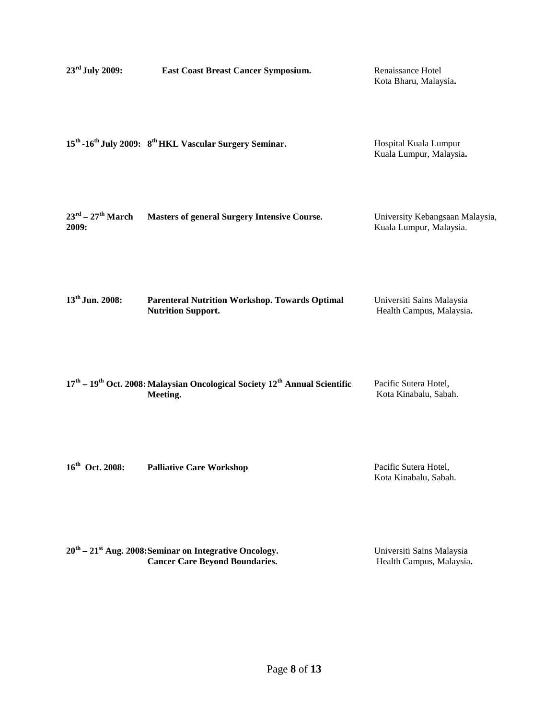| 23rd July 2009:                                  | <b>East Coast Breast Cancer Symposium.</b>                                                                                | Renaissance Hotel<br>Kota Bharu, Malaysia.                 |
|--------------------------------------------------|---------------------------------------------------------------------------------------------------------------------------|------------------------------------------------------------|
|                                                  | 15 <sup>th</sup> -16 <sup>th</sup> July 2009: 8 <sup>th</sup> HKL Vascular Surgery Seminar.                               | Hospital Kuala Lumpur<br>Kuala Lumpur, Malaysia.           |
| $23^{\text{rd}} - 27^{\text{th}}$ March<br>2009: | <b>Masters of general Surgery Intensive Course.</b>                                                                       | University Kebangsaan Malaysia,<br>Kuala Lumpur, Malaysia. |
| 13 <sup>th</sup> Jun. 2008:                      | <b>Parenteral Nutrition Workshop. Towards Optimal</b><br><b>Nutrition Support.</b>                                        | Universiti Sains Malaysia<br>Health Campus, Malaysia.      |
|                                                  | $17^{\text{th}} - 19^{\text{th}}$ Oct. 2008: Malaysian Oncological Society $12^{\text{th}}$ Annual Scientific<br>Meeting. | Pacific Sutera Hotel,<br>Kota Kinabalu, Sabah.             |
| 16th Oct. 2008:                                  | <b>Palliative Care Workshop</b>                                                                                           | Pacific Sutera Hotel,                                      |

Kota Kinabalu, Sabah.

**20th – 21st Aug. 2008:Seminar on Integrative Oncology. Cancer Care Beyond Boundaries.** Universiti Sains Malaysia Health Campus, Malaysia**.**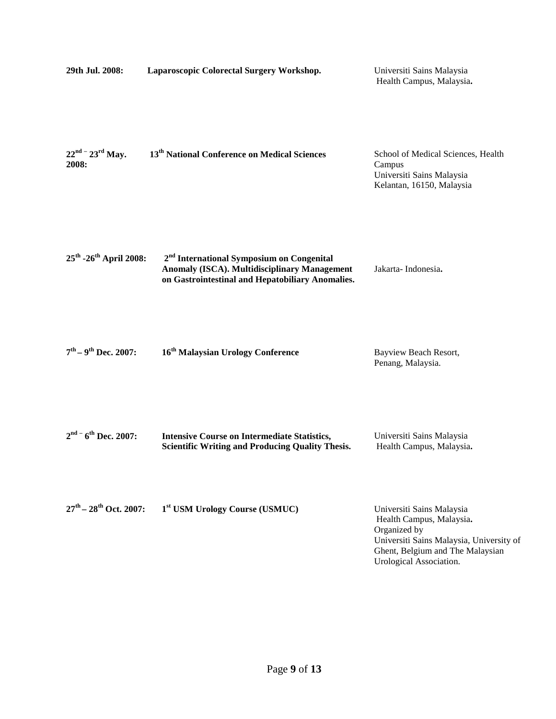| 29th Jul. 2008:                                | Laparoscopic Colorectal Surgery Workshop.                                                                                                                        | Universiti Sains Malaysia<br>Health Campus, Malaysia.                                                                                                                            |
|------------------------------------------------|------------------------------------------------------------------------------------------------------------------------------------------------------------------|----------------------------------------------------------------------------------------------------------------------------------------------------------------------------------|
| $22^{nd}$ - $23^{rd}$ May.<br>2008:            | 13 <sup>th</sup> National Conference on Medical Sciences                                                                                                         | School of Medical Sciences, Health<br>Campus<br>Universiti Sains Malaysia<br>Kelantan, 16150, Malaysia                                                                           |
| 25 <sup>th</sup> -26 <sup>th</sup> April 2008: | 2 <sup>nd</sup> International Symposium on Congenital<br><b>Anomaly (ISCA). Multidisciplinary Management</b><br>on Gastrointestinal and Hepatobiliary Anomalies. | Jakarta-Indonesia.                                                                                                                                                               |
| $7^{\text{th}} - 9^{\text{th}}$ Dec. 2007:     | 16 <sup>th</sup> Malaysian Urology Conference                                                                                                                    | Bayview Beach Resort,<br>Penang, Malaysia.                                                                                                                                       |
| $2nd$ - 6 <sup>th</sup> Dec. 2007:             | <b>Intensive Course on Intermediate Statistics,</b><br><b>Scientific Writing and Producing Quality Thesis.</b>                                                   | Universiti Sains Malaysia<br>Health Campus, Malaysia.                                                                                                                            |
| $27^{\text{th}} - 28^{\text{th}}$ Oct. 2007:   | 1 <sup>st</sup> USM Urology Course (USMUC)                                                                                                                       | Universiti Sains Malaysia<br>Health Campus, Malaysia.<br>Organized by<br>Universiti Sains Malaysia, University of<br>Ghent, Belgium and The Malaysian<br>Urological Association. |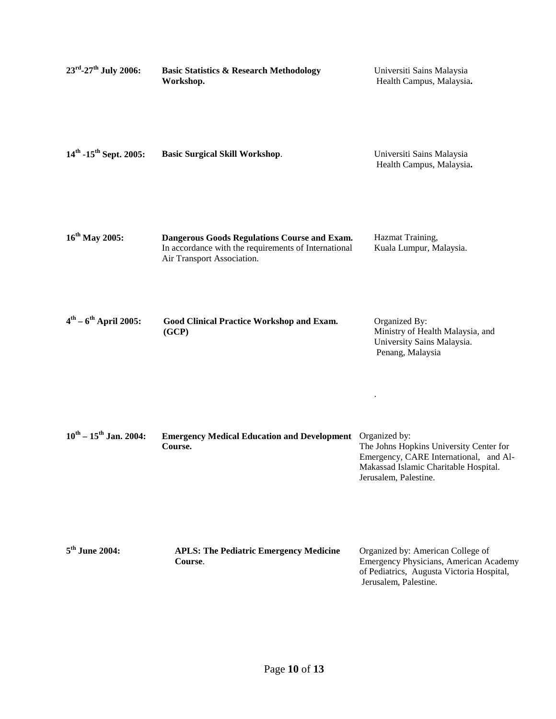| 23rd-27 <sup>th</sup> July 2006:               | <b>Basic Statistics &amp; Research Methodology</b><br>Workshop.                                                                    | Universiti Sains Malaysia<br>Health Campus, Malaysia.                                                                                               |
|------------------------------------------------|------------------------------------------------------------------------------------------------------------------------------------|-----------------------------------------------------------------------------------------------------------------------------------------------------|
| $14^{\text{th}}$ -15 <sup>th</sup> Sept. 2005: | <b>Basic Surgical Skill Workshop.</b>                                                                                              | Universiti Sains Malaysia<br>Health Campus, Malaysia.                                                                                               |
| $16^{th}$ May 2005:                            | Dangerous Goods Regulations Course and Exam.<br>In accordance with the requirements of International<br>Air Transport Association. | Hazmat Training,<br>Kuala Lumpur, Malaysia.                                                                                                         |
| $4^{\text{th}} - 6^{\text{th}}$ April 2005:    | Good Clinical Practice Workshop and Exam.<br>(GCP)                                                                                 | Organized By:<br>Ministry of Health Malaysia, and<br>University Sains Malaysia.<br>Penang, Malaysia                                                 |
| $10^{th}$ – $15^{th}$ Jan. 2004:               | <b>Emergency Medical Education and Development</b> Organized by:<br>Course.                                                        | The Johns Hopkins University Center for<br>Emergency, CARE International, and Al-<br>Makassad Islamic Charitable Hospital.<br>Jerusalem, Palestine. |
| $5th$ June 2004:                               | <b>APLS: The Pediatric Emergency Medicine</b><br>Course.                                                                           | Organized by: American College of<br>Emergency Physicians, American Academy<br>of Pediatrics, Augusta Victoria Hospital,<br>Jerusalem, Palestine.   |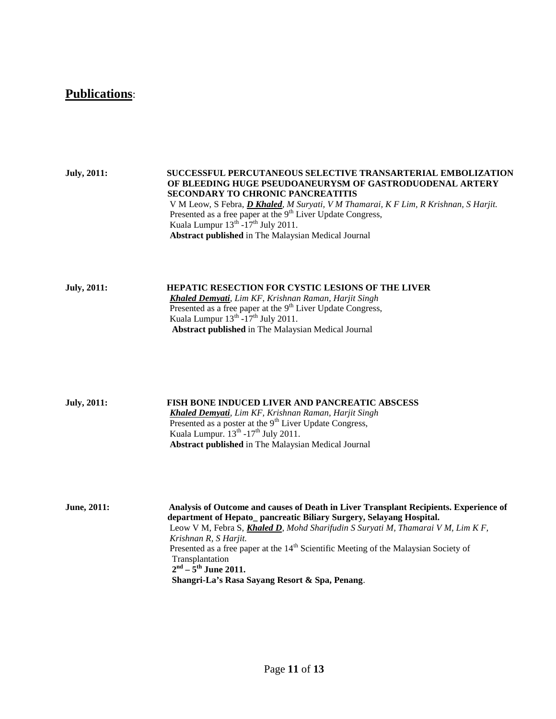## **Publications**:

**July, 2011: SUCCESSFUL PERCUTANEOUS SELECTIVE TRANSARTERIAL EMBOLIZATION OF BLEEDING HUGE PSEUDOANEURYSM OF GASTRODUODENAL ARTERY SECONDARY TO CHRONIC PANCREATITIS** V M Leow, S Febra, *D Khaled, M Suryati, V M Thamarai, K F Lim, R Krishnan, S Harjit.* Presented as a free paper at the  $9<sup>th</sup>$  Liver Update Congress, Kuala Lumpur  $13^{th}$ -17<sup>th</sup> July 2011. **Abstract published** in The Malaysian Medical Journal

**July, 2011: HEPATIC RESECTION FOR CYSTIC LESIONS OF THE LIVER** *Khaled Demyati, Lim KF, Krishnan Raman, Harjit Singh* Presented as a free paper at the 9<sup>th</sup> Liver Update Congress, Kuala Lumpur  $13<sup>th</sup> -17<sup>th</sup>$  July 2011. **Abstract published** in The Malaysian Medical Journal

**July, 2011: FISH BONE INDUCED LIVER AND PANCREATIC ABSCESS** *Khaled Demyati, Lim KF, Krishnan Raman, Harjit Singh* Presented as a poster at the  $9<sup>th</sup>$  Liver Update Congress, Kuala Lumpur.  $13<sup>th</sup> - 17<sup>th</sup>$  July 2011. **Abstract published** in The Malaysian Medical Journal

**June, 2011: Analysis of Outcome and causes of Death in Liver Transplant Recipients. Experience of department of Hepato\_ pancreatic Biliary Surgery, Selayang Hospital.** Leow V M, Febra S, *Khaled D, Mohd Sharifudin S Suryati M, Thamarai V M, Lim K F, Krishnan R, S Harjit.* Presented as a free paper at the 14<sup>th</sup> Scientific Meeting of the Malaysian Society of Transplantation  **2nd – 5th June 2011. Shangri-La's Rasa Sayang Resort & Spa, Penang**.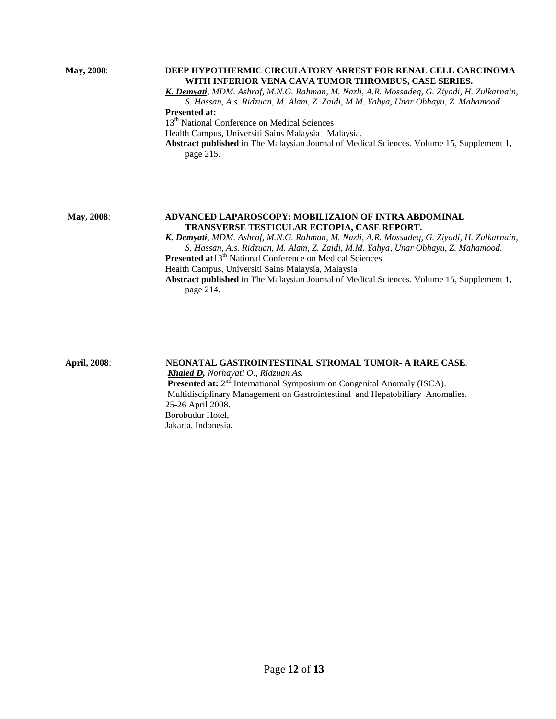#### **May, 2008**: **DEEP HYPOTHERMIC CIRCULATORY ARREST FOR RENAL CELL CARCINOMA WITH INFERIOR VENA CAVA TUMOR THROMBUS, CASE SERIES.**

*K. Demyati, MDM. Ashraf, M.N.G. Rahman, M. Nazli, A.R. Mossadeq, G. Ziyadi, H. Zulkarnain, S. Hassan, A.s. Ridzuan, M. Alam, Z. Zaidi, M.M. Yahya, Unar Obhayu, Z. Mahamood.*

#### **Presented at:**

13<sup>th</sup> National Conference on Medical Sciences

Health Campus, Universiti Sains Malaysia Malaysia.

**Abstract published** in The Malaysian Journal of Medical Sciences. Volume 15, Supplement 1, page 215.

#### **May, 2008**: **ADVANCED LAPAROSCOPY: MOBILIZAION OF INTRA ABDOMINAL TRANSVERSE TESTICULAR ECTOPIA, CASE REPORT.**

*K. Demyati, MDM. Ashraf, M.N.G. Rahman, M. Nazli, A.R. Mossadeq, G. Ziyadi, H. Zulkarnain, S. Hassan, A.s. Ridzuan, M. Alam, Z. Zaidi, M.M. Yahya, Unar Obhayu, Z. Mahamood.* **Presented at**13<sup>th</sup> National Conference on Medical Sciences Health Campus, Universiti Sains Malaysia, Malaysia  **Abstract published** in The Malaysian Journal of Medical Sciences. Volume 15, Supplement 1, page 214.

**April, 2008**: **NEONATAL GASTROINTESTINAL STROMAL TUMOR- A RARE CASE***. Khaled D, Norhayati O., Ridzuan As.* **Presented at:** 2<sup>nd</sup> International Symposium on Congenital Anomaly (ISCA). Multidisciplinary Management on Gastrointestinal and Hepatobiliary Anomalies. 25-26 April 2008. Borobudur Hotel, Jakarta, Indonesia**.**